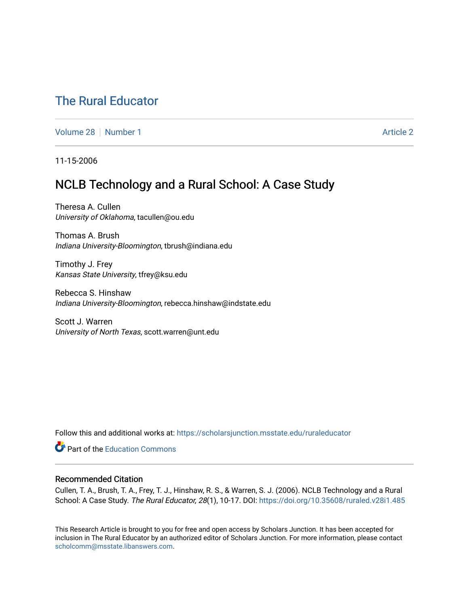# [The Rural Educator](https://scholarsjunction.msstate.edu/ruraleducator)

[Volume 28](https://scholarsjunction.msstate.edu/ruraleducator/vol28) [Number 1](https://scholarsjunction.msstate.edu/ruraleducator/vol28/iss1) [Article 2](https://scholarsjunction.msstate.edu/ruraleducator/vol28/iss1/2) Article 2

11-15-2006

## NCLB Technology and a Rural School: A Case Study

Theresa A. Cullen University of Oklahoma, tacullen@ou.edu

Thomas A. Brush Indiana University-Bloomington, tbrush@indiana.edu

Timothy J. Frey Kansas State University, tfrey@ksu.edu

Rebecca S. Hinshaw Indiana University-Bloomington, rebecca.hinshaw@indstate.edu

Scott J. Warren University of North Texas, scott.warren@unt.edu

Follow this and additional works at: [https://scholarsjunction.msstate.edu/ruraleducator](https://scholarsjunction.msstate.edu/ruraleducator?utm_source=scholarsjunction.msstate.edu%2Fruraleducator%2Fvol28%2Fiss1%2F2&utm_medium=PDF&utm_campaign=PDFCoverPages)

**C** Part of the [Education Commons](http://network.bepress.com/hgg/discipline/784?utm_source=scholarsjunction.msstate.edu%2Fruraleducator%2Fvol28%2Fiss1%2F2&utm_medium=PDF&utm_campaign=PDFCoverPages)

## Recommended Citation

Cullen, T. A., Brush, T. A., Frey, T. J., Hinshaw, R. S., & Warren, S. J. (2006). NCLB Technology and a Rural School: A Case Study. The Rural Educator, 28(1), 10-17. DOI:<https://doi.org/10.35608/ruraled.v28i1.485>

This Research Article is brought to you for free and open access by Scholars Junction. It has been accepted for inclusion in The Rural Educator by an authorized editor of Scholars Junction. For more information, please contact [scholcomm@msstate.libanswers.com.](mailto:scholcomm@msstate.libanswers.com)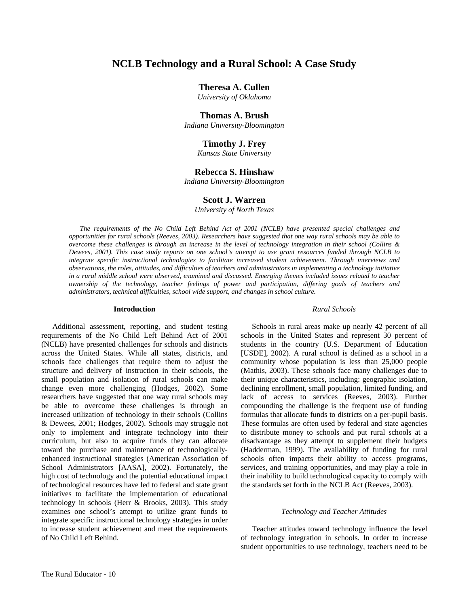## **NCLB Technology and a Rural School: A Case Study**

## **Theresa A. Cullen**

*University of Oklahoma* 

## **Thomas A. Brush**

*Indiana University-Bloomington* 

## **Timothy J. Frey**

*Kansas State University* 

## **Rebecca S. Hinshaw**

*Indiana University-Bloomington* 

## **Scott J. Warren**

*University of North Texas* 

*The requirements of the No Child Left Behind Act of 2001 (NCLB) have presented special challenges and opportunities for rural schools (Reeves, 2003). Researchers have suggested that one way rural schools may be able to overcome these challenges is through an increase in the level of technology integration in their school (Collins & Dewees, 2001). This case study reports on one school's attempt to use grant resources funded through NCLB to integrate specific instructional technologies to facilitate increased student achievement. Through interviews and observations, the roles, attitudes, and difficulties of teachers and administrators in implementing a technology initiative in a rural middle school were observed, examined and discussed. Emerging themes included issues related to teacher ownership of the technology, teacher feelings of power and participation, differing goals of teachers and administrators, technical difficulties, school wide support, and changes in school culture.* 

#### **Introduction**

Additional assessment, reporting, and student testing requirements of the No Child Left Behind Act of 2001 (NCLB) have presented challenges for schools and districts across the United States. While all states, districts, and schools face challenges that require them to adjust the structure and delivery of instruction in their schools, the small population and isolation of rural schools can make change even more challenging (Hodges, 2002). Some researchers have suggested that one way rural schools may be able to overcome these challenges is through an increased utilization of technology in their schools (Collins & Dewees, 2001; Hodges, 2002). Schools may struggle not only to implement and integrate technology into their curriculum, but also to acquire funds they can allocate toward the purchase and maintenance of technologicallyenhanced instructional strategies (American Association of School Administrators [AASA], 2002). Fortunately, the high cost of technology and the potential educational impact of technological resources have led to federal and state grant initiatives to facilitate the implementation of educational technology in schools (Herr & Brooks, 2003). This study examines one school's attempt to utilize grant funds to integrate specific instructional technology strategies in order to increase student achievement and meet the requirements of No Child Left Behind.

#### *Rural Schools*

Schools in rural areas make up nearly 42 percent of all schools in the United States and represent 30 percent of students in the country (U.S. Department of Education [USDE], 2002). A rural school is defined as a school in a community whose population is less than 25,000 people (Mathis, 2003). These schools face many challenges due to their unique characteristics, including: geographic isolation, declining enrollment, small population, limited funding, and lack of access to services (Reeves, 2003). Further compounding the challenge is the frequent use of funding formulas that allocate funds to districts on a per-pupil basis. These formulas are often used by federal and state agencies to distribute money to schools and put rural schools at a disadvantage as they attempt to supplement their budgets (Hadderman, 1999). The availability of funding for rural schools often impacts their ability to access programs, services, and training opportunities, and may play a role in their inability to build technological capacity to comply with the standards set forth in the NCLB Act (Reeves, 2003).

#### *Technology and Teacher Attitudes*

Teacher attitudes toward technology influence the level of technology integration in schools. In order to increase student opportunities to use technology, teachers need to be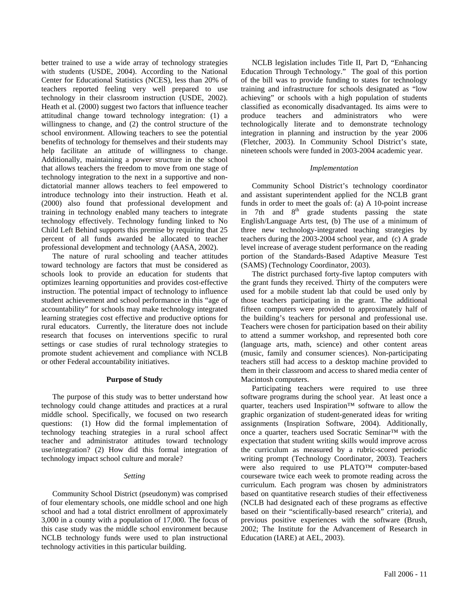better trained to use a wide array of technology strategies with students (USDE, 2004). According to the National Center for Educational Statistics (NCES), less than 20% of teachers reported feeling very well prepared to use technology in their classroom instruction (USDE, 2002). Heath et al. (2000) suggest two factors that influence teacher attitudinal change toward technology integration: (1) a willingness to change, and (2) the control structure of the school environment. Allowing teachers to see the potential benefits of technology for themselves and their students may help facilitate an attitude of willingness to change. Additionally, maintaining a power structure in the school that allows teachers the freedom to move from one stage of technology integration to the next in a supportive and nondictatorial manner allows teachers to feel empowered to introduce technology into their instruction. Heath et al. (2000) also found that professional development and training in technology enabled many teachers to integrate technology effectively. Technology funding linked to No Child Left Behind supports this premise by requiring that 25 percent of all funds awarded be allocated to teacher professional development and technology (AASA, 2002).

The nature of rural schooling and teacher attitudes toward technology are factors that must be considered as schools look to provide an education for students that optimizes learning opportunities and provides cost-effective instruction. The potential impact of technology to influence student achievement and school performance in this "age of accountability" for schools may make technology integrated learning strategies cost effective and productive options for rural educators. Currently, the literature does not include research that focuses on interventions specific to rural settings or case studies of rural technology strategies to promote student achievement and compliance with NCLB or other Federal accountability initiatives.

## **Purpose of Study**

The purpose of this study was to better understand how technology could change attitudes and practices at a rural middle school. Specifically, we focused on two research questions: (1) How did the formal implementation of technology teaching strategies in a rural school affect teacher and administrator attitudes toward technology use/integration? (2) How did this formal integration of technology impact school culture and morale?

#### *Setting*

Community School District (pseudonym) was comprised of four elementary schools, one middle school and one high school and had a total district enrollment of approximately 3,000 in a county with a population of 17,000. The focus of this case study was the middle school environment because NCLB technology funds were used to plan instructional technology activities in this particular building.

NCLB legislation includes Title II, Part D, "Enhancing Education Through Technology." The goal of this portion of the bill was to provide funding to states for technology training and infrastructure for schools designated as "low achieving" or schools with a high population of students classified as economically disadvantaged. Its aims were to produce teachers and administrators who were technologically literate and to demonstrate technology integration in planning and instruction by the year 2006 (Fletcher, 2003). In Community School District's state, nineteen schools were funded in 2003-2004 academic year.

#### *Implementation*

Community School District's technology coordinator and assistant superintendent applied for the NCLB grant funds in order to meet the goals of: (a) A 10-point increase in 7th and  $8<sup>th</sup>$  grade students passing the state English/Language Arts test, (b) The use of a minimum of three new technology-integrated teaching strategies by teachers during the 2003-2004 school year, and (c) A grade level increase of average student performance on the reading portion of the Standards-Based Adaptive Measure Test (SAMS) (Technology Coordinator, 2003).

The district purchased forty-five laptop computers with the grant funds they received. Thirty of the computers were used for a mobile student lab that could be used only by those teachers participating in the grant. The additional fifteen computers were provided to approximately half of the building's teachers for personal and professional use. Teachers were chosen for participation based on their ability to attend a summer workshop, and represented both core (language arts, math, science) and other content areas (music, family and consumer sciences). Non-participating teachers still had access to a desktop machine provided to them in their classroom and access to shared media center of Macintosh computers.

Participating teachers were required to use three software programs during the school year. At least once a quarter, teachers used Inspiration™ software to allow the graphic organization of student-generated ideas for writing assignments (Inspiration Software, 2004). Additionally, once a quarter, teachers used Socratic Seminar™ with the expectation that student writing skills would improve across the curriculum as measured by a rubric-scored periodic writing prompt (Technology Coordinator, 2003). Teachers were also required to use PLATO™ computer-based courseware twice each week to promote reading across the curriculum. Each program was chosen by administrators based on quantitative research studies of their effectiveness (NCLB had designated each of these programs as effective based on their "scientifically-based research" criteria), and previous positive experiences with the software (Brush, 2002; The Institute for the Advancement of Research in Education (IARE) at AEL, 2003).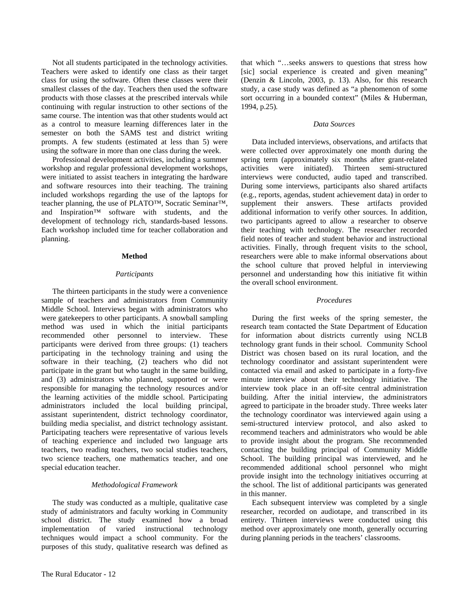Not all students participated in the technology activities. Teachers were asked to identify one class as their target class for using the software. Often these classes were their smallest classes of the day. Teachers then used the software products with those classes at the prescribed intervals while continuing with regular instruction to other sections of the same course. The intention was that other students would act as a control to measure learning differences later in the semester on both the SAMS test and district writing prompts. A few students (estimated at less than 5) were using the software in more than one class during the week.

Professional development activities, including a summer workshop and regular professional development workshops, were initiated to assist teachers in integrating the hardware and software resources into their teaching. The training included workshops regarding the use of the laptops for teacher planning, the use of PLATO™, Socratic Seminar™, and Inspiration™ software with students, and the development of technology rich, standards-based lessons. Each workshop included time for teacher collaboration and planning.

## **Method**

#### *Participants*

The thirteen participants in the study were a convenience sample of teachers and administrators from Community Middle School. Interviews began with administrators who were gatekeepers to other participants. A snowball sampling method was used in which the initial participants recommended other personnel to interview. These participants were derived from three groups: (1) teachers participating in the technology training and using the software in their teaching, (2) teachers who did not participate in the grant but who taught in the same building, and (3) administrators who planned, supported or were responsible for managing the technology resources and/or the learning activities of the middle school. Participating administrators included the local building principal, assistant superintendent, district technology coordinator, building media specialist, and district technology assistant. Participating teachers were representative of various levels of teaching experience and included two language arts teachers, two reading teachers, two social studies teachers, two science teachers, one mathematics teacher, and one special education teacher.

#### *Methodological Framework*

The study was conducted as a multiple, qualitative case study of administrators and faculty working in Community school district. The study examined how a broad implementation of varied instructional technology techniques would impact a school community. For the purposes of this study, qualitative research was defined as

#### *Data Sources*

Data included interviews, observations, and artifacts that were collected over approximately one month during the spring term (approximately six months after grant-related activities were initiated). Thirteen semi-structured interviews were conducted, audio taped and transcribed. During some interviews, participants also shared artifacts (e.g., reports, agendas, student achievement data) in order to supplement their answers. These artifacts provided additional information to verify other sources. In addition, two participants agreed to allow a researcher to observe their teaching with technology. The researcher recorded field notes of teacher and student behavior and instructional activities. Finally, through frequent visits to the school, researchers were able to make informal observations about the school culture that proved helpful in interviewing personnel and understanding how this initiative fit within the overall school environment.

#### *Procedures*

During the first weeks of the spring semester, the research team contacted the State Department of Education for information about districts currently using NCLB technology grant funds in their school. Community School District was chosen based on its rural location, and the technology coordinator and assistant superintendent were contacted via email and asked to participate in a forty-five minute interview about their technology initiative. The interview took place in an off-site central administration building. After the initial interview, the administrators agreed to participate in the broader study. Three weeks later the technology coordinator was interviewed again using a semi-structured interview protocol, and also asked to recommend teachers and administrators who would be able to provide insight about the program. She recommended contacting the building principal of Community Middle School. The building principal was interviewed, and he recommended additional school personnel who might provide insight into the technology initiatives occurring at the school. The list of additional participants was generated in this manner.

Each subsequent interview was completed by a single researcher, recorded on audiotape, and transcribed in its entirety. Thirteen interviews were conducted using this method over approximately one month, generally occurring during planning periods in the teachers' classrooms.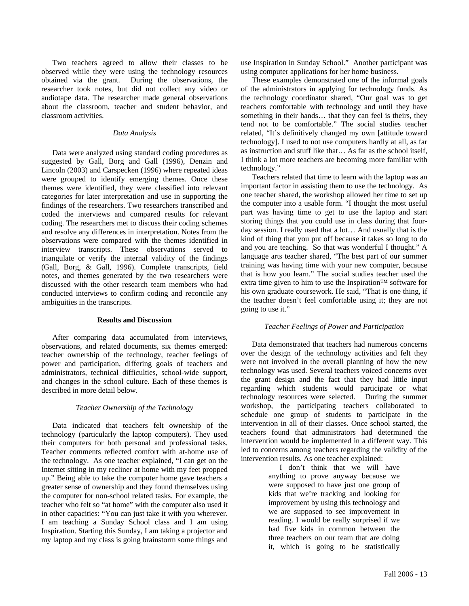Two teachers agreed to allow their classes to be observed while they were using the technology resources obtained via the grant. During the observations, the researcher took notes, but did not collect any video or audiotape data. The researcher made general observations about the classroom, teacher and student behavior, and classroom activities.

## *Data Analysis*

Data were analyzed using standard coding procedures as suggested by Gall, Borg and Gall (1996), Denzin and Lincoln (2003) and Carspecken (1996) where repeated ideas were grouped to identify emerging themes. Once these themes were identified, they were classified into relevant categories for later interpretation and use in supporting the findings of the researchers. Two researchers transcribed and coded the interviews and compared results for relevant coding. The researchers met to discuss their coding schemes and resolve any differences in interpretation. Notes from the observations were compared with the themes identified in interview transcripts. These observations served to triangulate or verify the internal validity of the findings (Gall, Borg, & Gall, 1996). Complete transcripts, field notes, and themes generated by the two researchers were discussed with the other research team members who had conducted interviews to confirm coding and reconcile any ambiguities in the transcripts.

## **Results and Discussion**

After comparing data accumulated from interviews, observations, and related documents, six themes emerged: teacher ownership of the technology, teacher feelings of power and participation, differing goals of teachers and administrators, technical difficulties, school-wide support, and changes in the school culture. Each of these themes is described in more detail below.

#### *Teacher Ownership of the Technology*

Data indicated that teachers felt ownership of the technology (particularly the laptop computers). They used their computers for both personal and professional tasks. Teacher comments reflected comfort with at-home use of the technology. As one teacher explained, "I can get on the Internet sitting in my recliner at home with my feet propped up." Being able to take the computer home gave teachers a greater sense of ownership and they found themselves using the computer for non-school related tasks. For example, the teacher who felt so "at home" with the computer also used it in other capacities: "You can just take it with you wherever. I am teaching a Sunday School class and I am using Inspiration. Starting this Sunday, I am taking a projector and my laptop and my class is going brainstorm some things and use Inspiration in Sunday School." Another participant was using computer applications for her home business.

These examples demonstrated one of the informal goals of the administrators in applying for technology funds. As the technology coordinator shared, "Our goal was to get teachers comfortable with technology and until they have something in their hands... that they can feel is theirs, they tend not to be comfortable." The social studies teacher related, "It's definitively changed my own [attitude toward technology]. I used to not use computers hardly at all, as far as instruction and stuff like that… As far as the school itself, I think a lot more teachers are becoming more familiar with technology."

Teachers related that time to learn with the laptop was an important factor in assisting them to use the technology. As one teacher shared, the workshop allowed her time to set up the computer into a usable form. "I thought the most useful part was having time to get to use the laptop and start storing things that you could use in class during that fourday session. I really used that a lot… And usually that is the kind of thing that you put off because it takes so long to do and you are teaching. So that was wonderful I thought." A language arts teacher shared, "The best part of our summer training was having time with your new computer, because that is how you learn." The social studies teacher used the extra time given to him to use the Inspiration™ software for his own graduate coursework. He said, "That is one thing, if the teacher doesn't feel comfortable using it; they are not going to use it."

#### *Teacher Feelings of Power and Participation*

Data demonstrated that teachers had numerous concerns over the design of the technology activities and felt they were not involved in the overall planning of how the new technology was used. Several teachers voiced concerns over the grant design and the fact that they had little input regarding which students would participate or what technology resources were selected. During the summer workshop, the participating teachers collaborated to schedule one group of students to participate in the intervention in all of their classes. Once school started, the teachers found that administrators had determined the intervention would be implemented in a different way. This led to concerns among teachers regarding the validity of the intervention results. As one teacher explained: I don't think that we will have

anything to prove anyway because we were supposed to have just one group of kids that we're tracking and looking for improvement by using this technology and we are supposed to see improvement in reading. I would be really surprised if we had five kids in common between the three teachers on our team that are doing it, which is going to be statistically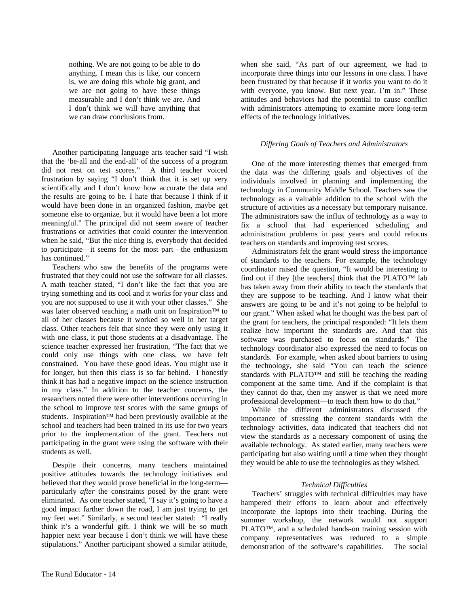nothing. We are not going to be able to do anything. I mean this is like, our concern is, we are doing this whole big grant, and we are not going to have these things measurable and I don't think we are. And I don't think we will have anything that we can draw conclusions from.

Another participating language arts teacher said "I wish that the 'be-all and the end-all' of the success of a program did not rest on test scores." A third teacher voiced frustration by saying "I don't think that it is set up very scientifically and I don't know how accurate the data and the results are going to be. I hate that because I think if it would have been done in an organized fashion, maybe get someone else to organize, but it would have been a lot more meaningful." The principal did not seem aware of teacher frustrations or activities that could counter the intervention when he said, "But the nice thing is, everybody that decided to participate—it seems for the most part—the enthusiasm has continued."

Teachers who saw the benefits of the programs were frustrated that they could not use the software for all classes. A math teacher stated, "I don't like the fact that you are trying something and its cool and it works for your class and you are not supposed to use it with your other classes." She was later observed teaching a math unit on Inspiration™ to all of her classes because it worked so well in her target class. Other teachers felt that since they were only using it with one class, it put those students at a disadvantage. The science teacher expressed her frustration, "The fact that we could only use things with one class, we have felt constrained. You have these good ideas. You might use it for longer, but then this class is so far behind. I honestly think it has had a negative impact on the science instruction in my class." In addition to the teacher concerns, the researchers noted there were other interventions occurring in the school to improve test scores with the same groups of students. Inspiration™ had been previously available at the school and teachers had been trained in its use for two years prior to the implementation of the grant. Teachers not participating in the grant were using the software with their students as well.

Despite their concerns, many teachers maintained positive attitudes towards the technology initiatives and believed that they would prove beneficial in the long-term particularly *after* the constraints posed by the grant were eliminated. As one teacher stated, "I say it's going to have a good impact farther down the road, I am just trying to get my feet wet." Similarly, a second teacher stated: "I really think it's a wonderful gift. I think we will be so much happier next year because I don't think we will have these stipulations." Another participant showed a similar attitude,

when she said, "As part of our agreement, we had to incorporate three things into our lessons in one class. I have been frustrated by that because if it works you want to do it with everyone, you know. But next year, I'm in." These attitudes and behaviors had the potential to cause conflict with administrators attempting to examine more long-term effects of the technology initiatives.

## *Differing Goals of Teachers and Administrators*

One of the more interesting themes that emerged from the data was the differing goals and objectives of the individuals involved in planning and implementing the technology in Community Middle School. Teachers saw the technology as a valuable addition to the school with the structure of activities as a necessary but temporary nuisance. The administrators saw the influx of technology as a way to fix a school that had experienced scheduling and administration problems in past years and could refocus teachers on standards and improving test scores.

Administrators felt the grant would stress the importance of standards to the teachers. For example, the technology coordinator raised the question, "It would be interesting to find out if they [the teachers] think that the PLATO™ lab has taken away from their ability to teach the standards that they are suppose to be teaching. And I know what their answers are going to be and it's not going to be helpful to our grant." When asked what he thought was the best part of the grant for teachers, the principal responded: "It lets them realize how important the standards are. And that this software was purchased to focus on standards." The technology coordinator also expressed the need to focus on standards. For example, when asked about barriers to using the technology, she said "You can teach the science standards with PLATO™ and still be teaching the reading component at the same time. And if the complaint is that they cannot do that, then my answer is that we need more professional development—to teach them how to do that."

While the different administrators discussed the importance of stressing the content standards with the technology activities, data indicated that teachers did not view the standards as a necessary component of using the available technology. As stated earlier, many teachers were participating but also waiting until a time when they thought they would be able to use the technologies as they wished.

## *Technical Difficulties*

Teachers' struggles with technical difficulties may have hampered their efforts to learn about and effectively incorporate the laptops into their teaching. During the summer workshop, the network would not support PLATO™, and a scheduled hands-on training session with company representatives was reduced to a simple demonstration of the software's capabilities. The social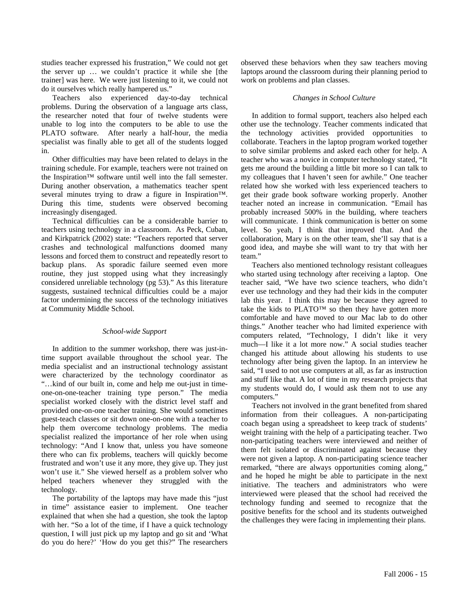studies teacher expressed his frustration," We could not get the server up … we couldn't practice it while she [the trainer] was here. We were just listening to it, we could not do it ourselves which really hampered us."

Teachers also experienced day-to-day technical problems. During the observation of a language arts class, the researcher noted that four of twelve students were unable to log into the computers to be able to use the PLATO software. After nearly a half-hour, the media specialist was finally able to get all of the students logged in.

Other difficulties may have been related to delays in the training schedule. For example, teachers were not trained on the Inspiration™ software until well into the fall semester. During another observation, a mathematics teacher spent several minutes trying to draw a figure in Inspiration™. During this time, students were observed becoming increasingly disengaged.

Technical difficulties can be a considerable barrier to teachers using technology in a classroom. As Peck, Cuban, and Kirkpatrick (2002) state: "Teachers reported that server crashes and technological malfunctions doomed many lessons and forced them to construct and repeatedly resort to backup plans. As sporadic failure seemed even more routine, they just stopped using what they increasingly considered unreliable technology (pg 53)." As this literature suggests, sustained technical difficulties could be a major factor undermining the success of the technology initiatives at Community Middle School.

## *School-wide Support*

In addition to the summer workshop, there was just-intime support available throughout the school year. The media specialist and an instructional technology assistant were characterized by the technology coordinator as "…kind of our built in, come and help me out-just in timeone-on-one-teacher training type person." The media specialist worked closely with the district level staff and provided one-on-one teacher training. She would sometimes guest-teach classes or sit down one-on-one with a teacher to help them overcome technology problems. The media specialist realized the importance of her role when using technology: "And I know that, unless you have someone there who can fix problems, teachers will quickly become frustrated and won't use it any more, they give up. They just won't use it." She viewed herself as a problem solver who helped teachers whenever they struggled with the technology.

The portability of the laptops may have made this "just in time" assistance easier to implement. One teacher explained that when she had a question, she took the laptop with her. "So a lot of the time, if I have a quick technology question, I will just pick up my laptop and go sit and 'What do you do here?' 'How do you get this?" The researchers

observed these behaviors when they saw teachers moving laptops around the classroom during their planning period to work on problems and plan classes.

#### *Changes in School Culture*

In addition to formal support, teachers also helped each other use the technology. Teacher comments indicated that the technology activities provided opportunities to collaborate. Teachers in the laptop program worked together to solve similar problems and asked each other for help. A teacher who was a novice in computer technology stated, "It gets me around the building a little bit more so I can talk to my colleagues that I haven't seen for awhile." One teacher related how she worked with less experienced teachers to get their grade book software working properly. Another teacher noted an increase in communication. "Email has probably increased 500% in the building, where teachers will communicate. I think communication is better on some level. So yeah, I think that improved that. And the collaboration, Mary is on the other team, she'll say that is a good idea, and maybe she will want to try that with her team."

Teachers also mentioned technology resistant colleagues who started using technology after receiving a laptop. One teacher said, "We have two science teachers, who didn't ever use technology and they had their kids in the computer lab this year. I think this may be because they agreed to take the kids to PLATO™ so then they have gotten more comfortable and have moved to our Mac lab to do other things." Another teacher who had limited experience with computers related, "Technology, I didn't like it very much—I like it a lot more now." A social studies teacher changed his attitude about allowing his students to use technology after being given the laptop. In an interview he said, "I used to not use computers at all, as far as instruction and stuff like that. A lot of time in my research projects that my students would do, I would ask them not to use any computers."

Teachers not involved in the grant benefited from shared information from their colleagues. A non-participating coach began using a spreadsheet to keep track of students' weight training with the help of a participating teacher. Two non-participating teachers were interviewed and neither of them felt isolated or discriminated against because they were not given a laptop. A non-participating science teacher remarked, "there are always opportunities coming along," and he hoped he might be able to participate in the next initiative. The teachers and administrators who were interviewed were pleased that the school had received the technology funding and seemed to recognize that the positive benefits for the school and its students outweighed the challenges they were facing in implementing their plans.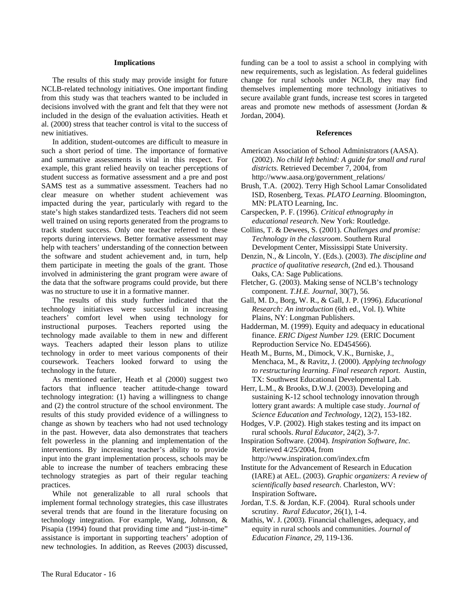### **Implications**

The results of this study may provide insight for future NCLB-related technology initiatives. One important finding from this study was that teachers wanted to be included in decisions involved with the grant and felt that they were not included in the design of the evaluation activities. Heath et al. (2000) stress that teacher control is vital to the success of new initiatives.

In addition, student-outcomes are difficult to measure in such a short period of time. The importance of formative and summative assessments is vital in this respect. For example, this grant relied heavily on teacher perceptions of student success as formative assessment and a pre and post SAMS test as a summative assessment. Teachers had no clear measure on whether student achievement was impacted during the year, particularly with regard to the state's high stakes standardized tests. Teachers did not seem well trained on using reports generated from the programs to track student success. Only one teacher referred to these reports during interviews. Better formative assessment may help with teachers' understanding of the connection between the software and student achievement and, in turn, help them participate in meeting the goals of the grant. Those involved in administering the grant program were aware of the data that the software programs could provide, but there was no structure to use it in a formative manner.

The results of this study further indicated that the technology initiatives were successful in increasing teachers' comfort level when using technology for instructional purposes. Teachers reported using the technology made available to them in new and different ways. Teachers adapted their lesson plans to utilize technology in order to meet various components of their coursework. Teachers looked forward to using the technology in the future.

As mentioned earlier, Heath et al (2000) suggest two factors that influence teacher attitude-change toward technology integration: (1) having a willingness to change and (2) the control structure of the school environment. The results of this study provided evidence of a willingness to change as shown by teachers who had not used technology in the past. However, data also demonstrates that teachers felt powerless in the planning and implementation of the interventions. By increasing teacher's ability to provide input into the grant implementation process, schools may be able to increase the number of teachers embracing these technology strategies as part of their regular teaching practices.

While not generalizable to all rural schools that implement formal technology strategies, this case illustrates several trends that are found in the literature focusing on technology integration. For example, Wang, Johnson, & Pisapia (1994) found that providing time and "just-in-time" assistance is important in supporting teachers' adoption of new technologies. In addition, as Reeves (2003) discussed,

funding can be a tool to assist a school in complying with new requirements, such as legislation. As federal guidelines change for rural schools under NCLB, they may find themselves implementing more technology initiatives to secure available grant funds, increase test scores in targeted areas and promote new methods of assessment (Jordan & Jordan, 2004).

#### **References**

- American Association of School Administrators (AASA). (2002). *No child left behind: A guide for small and rural districts.* Retrieved December 7, 2004, from http://www.aasa.org/government\_relations/
- Brush, T.A. (2002). Terry High School Lamar Consolidated ISD, Rosenberg, Texas. *PLATO Learning*. Bloomington, MN: PLATO Learning, Inc.
- Carspecken, P. F. (1996). *Critical ethnography in educational research*. New York: Routledge.
- Collins, T. & Dewees, S. (2001). *Challenges and promise: Technology in the classroom*. Southern Rural Development Center, Mississippi State University.
- Denzin, N., & Lincoln, Y. (Eds.). (2003). *The discipline and practice of qualitative research,* (2nd ed.). Thousand Oaks, CA: Sage Publications.
- Fletcher, G. (2003). Making sense of NCLB's technology component. *T.H.E. Journal*, 30(7), 56.
- Gall, M. D., Borg, W. R., & Gall, J. P. (1996). *Educational Research: An introduction* (6th ed., Vol. I). White Plains, NY: Longman Publishers.
- Hadderman, M. (1999). Equity and adequacy in educational finance. *ERIC Digest Number 129.* (ERIC Document Reproduction Service No. ED454566).
- Heath M., Burns, M., Dimock, V.K., Burniske, J., Menchaca, M., & Ravitz, J. (2000). *Applying technology to restructuring learning. Final research report*. Austin, TX: Southwest Educational Developmental Lab.
- Herr, L.M., & Brooks, D.W.J. (2003). Developing and sustaining K-12 school technology innovation through lottery grant awards: A multiple case study. *Journal of Science Education and Technology,* 12(2), 153-182.
- Hodges, V.P. (2002). High stakes testing and its impact on rural schools. *Rural Educator*, 24(2), 3-7.

Inspiration Software. (2004). *Inspiration Software, Inc.* Retrieved 4/25/2004, from

http://www.inspiration.com/index.cfm Institute for the Advancement of Research in Education (IARE) at AEL. (2003). *Graphic organizers: A review of scientifically based research*. Charleston, WV: Inspiration Software**.** 

- Jordan, T.S. & Jordan, K.F. (2004). Rural schools under scrutiny. *Rural Educator*, 26(1), 1-4.
- Mathis, W. J. (2003). Financial challenges, adequacy, and equity in rural schools and communities. *Journal of Education Finance*, *29,* 119-136.